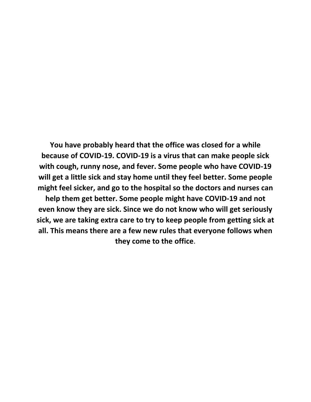**You have probably heard that the office was closed for a while because of COVID-19. COVID-19 is a virus that can make people sick with cough, runny nose, and fever. Some people who have COVID-19 will get a little sick and stay home until they feel better. Some people might feel sicker, and go to the hospital so the doctors and nurses can** 

**help them get better. Some people might have COVID-19 and not even know they are sick. Since we do not know who will get seriously sick, we are taking extra care to try to keep people from getting sick at all. This means there are a few new rules that everyone follows when they come to the office**.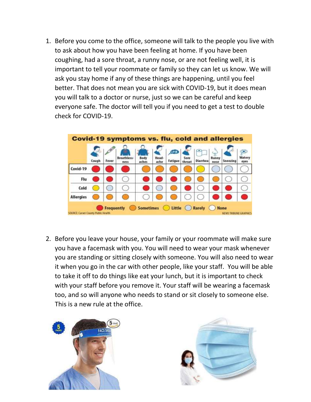1. Before you come to the office, someone will talk to the people you live with to ask about how you have been feeling at home. If you have been coughing, had a sore throat, a runny nose, or are not feeling well, it is important to tell your roommate or family so they can let us know. We will ask you stay home if any of these things are happening, until you feel better. That does not mean you are sick with COVID-19, but it does mean you will talk to a doctor or nurse, just so we can be careful and keep everyone safe. The doctor will tell you if you need to get a test to double check for COVID-19.



2. Before you leave your house, your family or your roommate will make sure you have a facemask with you. You will need to wear your mask whenever you are standing or sitting closely with someone. You will also need to wear it when you go in the car with other people, like your staff. You will be able to take it off to do things like eat your lunch, but it is important to check with your staff before you remove it. Your staff will be wearing a facemask too, and so will anyone who needs to stand or sit closely to someone else. This is a new rule at the office.



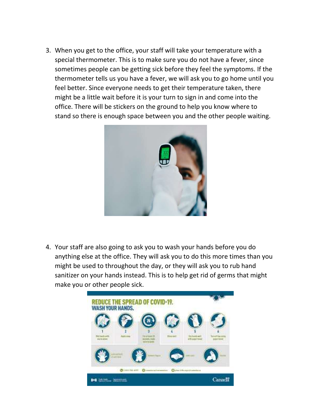3. When you get to the office, your staff will take your temperature with a special thermometer. This is to make sure you do not have a fever, since sometimes people can be getting sick before they feel the symptoms. If the thermometer tells us you have a fever, we will ask you to go home until you feel better. Since everyone needs to get their temperature taken, there might be a little wait before it is your turn to sign in and come into the office. There will be stickers on the ground to help you know where to stand so there is enough space between you and the other people waiting.



4. Your staff are also going to ask you to wash your hands before you do anything else at the office. They will ask you to do this more times than you might be used to throughout the day, or they will ask you to rub hand sanitizer on your hands instead. This is to help get rid of germs that might make you or other people sick.

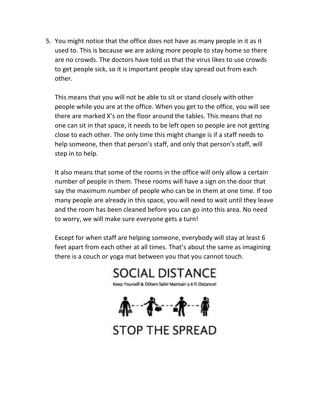5. You might notice that the office does not have as many people in it as it used to. This is because we are asking more people to stay home so there are no crowds. The doctors have told us that the virus likes to use crowds to get people sick, so it is important people stay spread out from each other.

This means that you will not be able to sit or stand closely with other people while you are at the office. When you get to the office, you will see there are marked X's on the floor around the tables. This means that no one can sit in that space, it needs to be left open so people are not getting close to each other. The only time this might change is if a staff needs to help someone, then that person's staff, and only that person's staff, will step in to help.

It also means that some of the rooms in the office will only allow a certain number of people in them. These rooms will have a sign on the door that say the maximum number of people who can be in them at one time. If too many people are already in this space, you will need to wait until they leave and the room has been cleaned before you can go into this area. No need to worry, we will make sure everyone gets a turn!

Except for when staff are helping someone, everybody will stay at least 6 feet apart from each other at all times. That's about the same as imagining there is a couch or yoga mat between you that you cannot touch.

**SOCIAL DISTANCE** 

Keep Yourself & Others Safe! Maintain a 6 ft Distance!

氟-吞-杀--帝

**STOP THE SPREAD**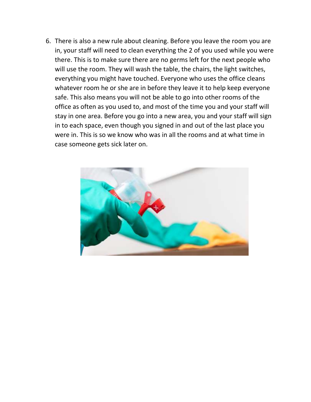6. There is also a new rule about cleaning. Before you leave the room you are in, your staff will need to clean everything the 2 of you used while you were there. This is to make sure there are no germs left for the next people who will use the room. They will wash the table, the chairs, the light switches, everything you might have touched. Everyone who uses the office cleans whatever room he or she are in before they leave it to help keep everyone safe. This also means you will not be able to go into other rooms of the office as often as you used to, and most of the time you and your staff will stay in one area. Before you go into a new area, you and your staff will sign in to each space, even though you signed in and out of the last place you were in. This is so we know who was in all the rooms and at what time in case someone gets sick later on.

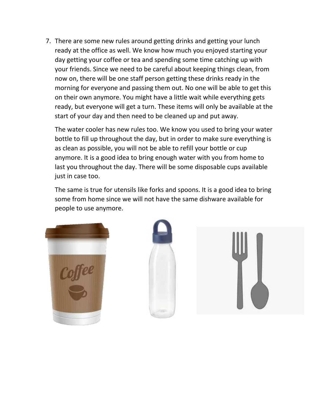7. There are some new rules around getting drinks and getting your lunch ready at the office as well. We know how much you enjoyed starting your day getting your coffee or tea and spending some time catching up with your friends. Since we need to be careful about keeping things clean, from now on, there will be one staff person getting these drinks ready in the morning for everyone and passing them out. No one will be able to get this on their own anymore. You might have a little wait while everything gets ready, but everyone will get a turn. These items will only be available at the start of your day and then need to be cleaned up and put away.

The water cooler has new rules too. We know you used to bring your water bottle to fill up throughout the day, but in order to make sure everything is as clean as possible, you will not be able to refill your bottle or cup anymore. It is a good idea to bring enough water with you from home to last you throughout the day. There will be some disposable cups available just in case too.

The same is true for utensils like forks and spoons. It is a good idea to bring some from home since we will not have the same dishware available for people to use anymore.





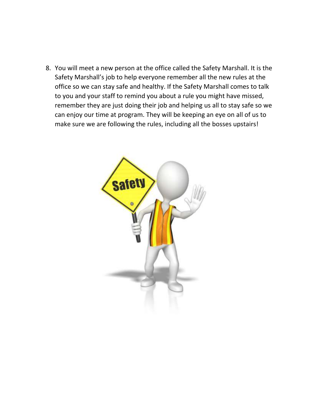8. You will meet a new person at the office called the Safety Marshall. It is the Safety Marshall's job to help everyone remember all the new rules at the office so we can stay safe and healthy. If the Safety Marshall comes to talk to you and your staff to remind you about a rule you might have missed, remember they are just doing their job and helping us all to stay safe so we can enjoy our time at program. They will be keeping an eye on all of us to make sure we are following the rules, including all the bosses upstairs!

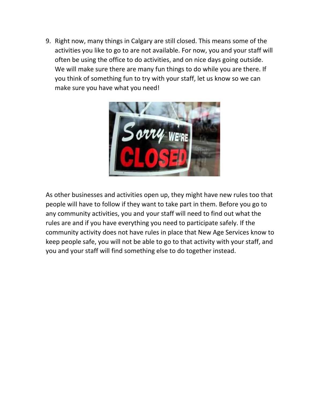9. Right now, many things in Calgary are still closed. This means some of the activities you like to go to are not available. For now, you and your staff will often be using the office to do activities, and on nice days going outside. We will make sure there are many fun things to do while you are there. If you think of something fun to try with your staff, let us know so we can make sure you have what you need!



As other businesses and activities open up, they might have new rules too that people will have to follow if they want to take part in them. Before you go to any community activities, you and your staff will need to find out what the rules are and if you have everything you need to participate safely. If the community activity does not have rules in place that New Age Services know to keep people safe, you will not be able to go to that activity with your staff, and you and your staff will find something else to do together instead.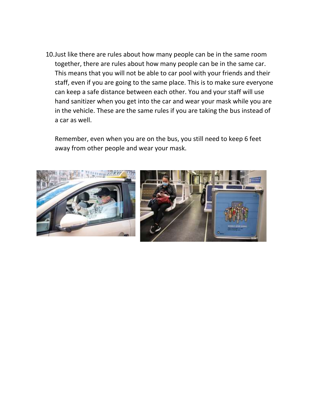10.Just like there are rules about how many people can be in the same room together, there are rules about how many people can be in the same car. This means that you will not be able to car pool with your friends and their staff, even if you are going to the same place. This is to make sure everyone can keep a safe distance between each other. You and your staff will use hand sanitizer when you get into the car and wear your mask while you are in the vehicle. These are the same rules if you are taking the bus instead of a car as well.

Remember, even when you are on the bus, you still need to keep 6 feet away from other people and wear your mask.

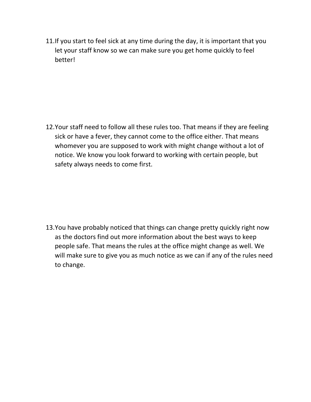11.If you start to feel sick at any time during the day, it is important that you let your staff know so we can make sure you get home quickly to feel better!

12.Your staff need to follow all these rules too. That means if they are feeling sick or have a fever, they cannot come to the office either. That means whomever you are supposed to work with might change without a lot of notice. We know you look forward to working with certain people, but safety always needs to come first.

13.You have probably noticed that things can change pretty quickly right now as the doctors find out more information about the best ways to keep people safe. That means the rules at the office might change as well. We will make sure to give you as much notice as we can if any of the rules need to change.